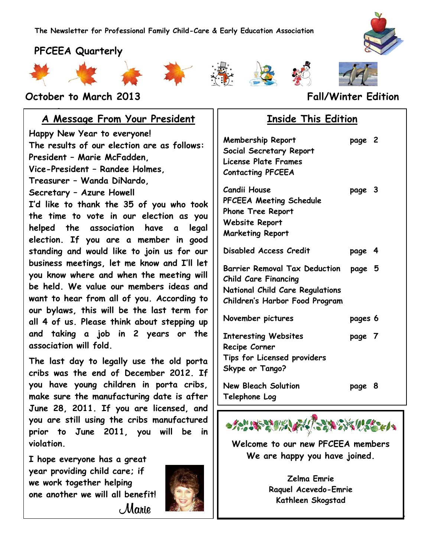













#### **October to March 2013 Fall/Winter Edition**

#### **www.pfceea.com A Message From Your President**

**Happy New Year to everyone! The results of our election are as follows: President – Marie McFadden, Vice-President – Randee Holmes, Treasurer – Wanda DiNardo, Secretary – Azure Howell I'd like to thank the 35 of you who took the time to vote in our election as you helped the association have a legal election. If you are a member in good standing and would like to join us for our business meetings, let me know and I'll let you know where and when the meeting will be held. We value our members ideas and want to hear from all of you. According to our bylaws, this will be the last term for all 4 of us. Please think about stepping up and taking a job in 2 years or the association will fold.**

**The last day to legally use the old porta cribs was the end of December 2012. If you have young children in porta cribs, make sure the manufacturing date is after June 28, 2011. If you are licensed, and you are still using the cribs manufactured prior to June 2011, you will be in violation.** 

**I hope everyone has a great year providing child care; if we work together helping one another we will all benefit!** Marie



### **Inside This Edition**

| <b>Membership Report</b><br>Social Secretary Report<br><b>License Plate Frames</b><br><b>Contacting PFCEEA</b>                           | page 2  |  |
|------------------------------------------------------------------------------------------------------------------------------------------|---------|--|
| <b>Candii House</b><br>PFCEEA Meeting Schedule<br><b>Phone Tree Report</b><br><b>Website Report</b><br><b>Marketing Report</b>           | page 3  |  |
| Disabled Access Credit                                                                                                                   | page 4  |  |
| <b>Barrier Removal Tax Deduction</b><br><b>Child Care Financing</b><br>National Child Care Regulations<br>Children's Harbor Food Program | page 5  |  |
| November pictures                                                                                                                        | pages 6 |  |
| <b>Interesting Websites</b><br>Recipe Corner<br>Tips for Licensed providers<br>Skype or Tango?                                           | page 7  |  |
| <b>New Bleach Solution</b><br>Telephone Log                                                                                              | page 8  |  |



**Welcome to our new PFCEEA members We are happy you have joined.**

> **Zelma Emrie Raquel Acevedo-Emrie Kathleen Skogstad**

> > 1

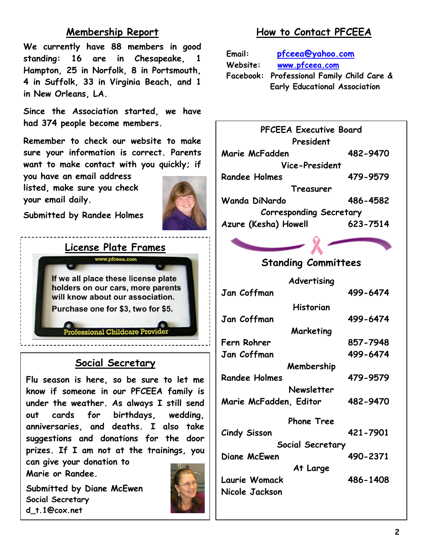# **Membership Report**

**We currently have 88 members in good standing: 16 are in Chesapeake, 1 Hampton, 25 in Norfolk, 8 in Portsmouth, 4 in Suffolk, 33 in Virginia Beach, and 1 in New Orleans, LA.**

**Since the Association started, we have had 374 people become members.**

**Remember to check our website to make sure your information is correct. Parents want to make contact with you quickly; if** 

**you have an email address listed, make sure you check your email daily.**



**Submitted by Randee Holmes**



#### **Social Secretary**

**Flu season is here, so be sure to let me know if someone in our PFCEEA family is under the weather. As always I still send out cards for birthdays, wedding, anniversaries, and deaths. I also take suggestions and donations for the door prizes. If I am not at the trainings, you can give your donation to** 

**Marie or Randee.**

**Submitted by Diane McEwen Social Secretary d\_t.1@cox.net**



# **How to Contact PFCEEA**

**Email: [pfceea@yahoo.com](mailto:pfceea@yahoo.com) Website: [www.pfceea.com](http://www.pfceea.com/) Facebook: Professional Family Child Care & Early Educational Association**



#### **Standing Committees**

| Advertising            |          |
|------------------------|----------|
| Jan Coffman            | 499-6474 |
| Historian              |          |
| Jan Coffman            | 499-6474 |
| Marketing              |          |
| Fern Rohrer            | 857-7948 |
| Jan Coffman            | 499-6474 |
| Membership             |          |
| <b>Randee Holmes</b>   | 479-9579 |
| Newsletter             |          |
| Marie McFadden, Editor | 482-9470 |
| <b>Phone Tree</b>      |          |
| Cindy Sisson           | 421-7901 |
| Social Secretary       |          |
| Diane McEwen           | 490-2371 |
| At Large               |          |
| Laurie Womack          | 486-1408 |
| Nicole Jackson         |          |
|                        |          |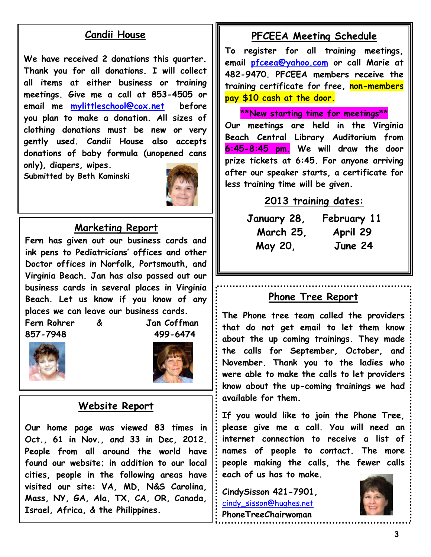# **Candii House**

**We have received 2 donations this quarter. Thank you for all donations. I will collect all items at either business or training meetings. Give me a call at 853-4505 or email me [mylittleschool@cox.net](mailto:mylittleschool@cox.net) before you plan to make a donation. All sizes of clothing donations must be new or very gently used. Candii House also accepts donations of baby formula (unopened cans only), diapers, wipes.** 

**Submitted by Beth Kaminski**



#### **Marketing Report**

**Fern has given out our business cards and ink pens to Pediatricians' offices and other Doctor offices in Norfolk, Portsmouth, and Virginia Beach. Jan has also passed out our business cards in several places in Virginia Beach. Let us know if you know of any places we can leave our business cards.**

**Fern Rohrer & Jan Coffman 857-7948 499-6474**





#### **Website Report**

**Our home page was viewed 83 times in Oct., 61 in Nov., and 33 in Dec, 2012. People from all around the world have found our website; in addition to our local cities, people in the following areas have visited our site: VA, MD, N&S Carolina, Mass, NY, GA, Ala, TX, CA, OR, Canada, Israel, Africa, & the Philippines.**

#### **PFCEEA Meeting Schedule**

**To register for all training meetings, email [pfceea@yahoo.com](mailto:pfceea@yahoo.com) or call Marie at 482-9470. PFCEEA members receive the training certificate for free, non-members pay \$10 cash at the door.**

**\*\*New starting time for meetings\*\***

**Our meetings are held in the Virginia Beach Central Library Auditorium from 6:45-8:45 pm. We will draw the door prize tickets at 6:45. For anyone arriving after our speaker starts, a certificate for less training time will be given.**

#### **2013 training dates:**

**January 28, February 11 March 25, April 29 May 20, June 24**

#### **Phone Tree Report**

**The Phone tree team called the providers that do not get email to let them know about the up coming trainings. They made the calls for September, October, and November. Thank you to the ladies who were able to make the calls to let providers know about the up-coming trainings we had available for them.**

**If you would like to join the Phone Tree, please give me a call. You will need an internet connection to receive a list of names of people to contact. The more people making the calls, the fewer calls each of us has to make.**

**CindySisson 421-7901,**  [cindy\\_sisson@hughes.net](mailto:cindy_sisson@hughes.net) **PhoneTreeChairwoman**

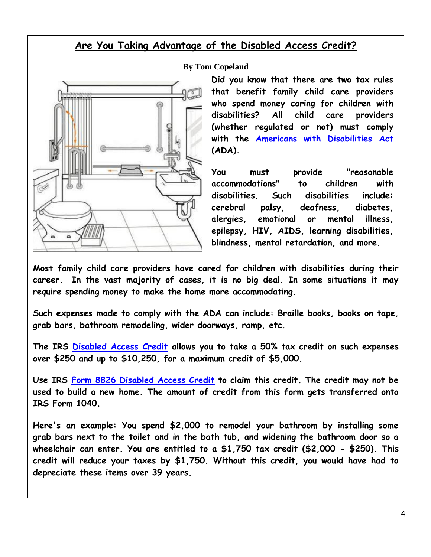## **Are You Taking Advantage of the Disabled Access Credit?**



**By Tom Copeland**

**Did you know that there are two tax rules that benefit family child care providers who spend money caring for children with disabilities? All child care providers (whether regulated or not) must comply with the [Americans with Disabilities Act](http://www.tomcopelandblog.com/2012/08/the-americans-with-disabilities-act-and-family-child-care.html) (ADA).** 

**You must provide "reasonable accommodations" to children with disabilities. Such disabilities include: cerebral palsy, deafness, diabetes, alergies, emotional or mental illness, epilepsy, HIV, AIDS, learning disabilities, blindness, mental retardation, and more.**

**Most family child care providers have cared for children with disabilities during their career. In the vast majority of cases, it is no big deal. In some situations it may require spending money to make the home more accommodating.**

**Such expenses made to comply with the ADA can include: Braille books, books on tape, grab bars, bathroom remodeling, wider doorways, ramp, etc.**

**The IRS [Disabled Access Credit](http://www.workworld.org/wwwebhelp/disabled_access_tax_credit.htm) allows you to take a 50% tax credit on such expenses over \$250 and up to \$10,250, for a maximum credit of \$5,000.**

**Use IRS [Form 8826 Disabled Access Credit](http://www.irs.gov/pub/irs-pdf/f8826.pdf) to claim this credit. The credit may not be used to build a new home. The amount of credit from this form gets transferred onto IRS Form 1040.**

**Here's an example: You spend \$2,000 to remodel your bathroom by installing some grab bars next to the toilet and in the bath tub, and widening the bathroom door so a wheelchair can enter. You are entitled to a \$1,750 tax credit (\$2,000 - \$250). This credit will reduce your taxes by \$1,750. Without this credit, you would have had to depreciate these items over 39 years.**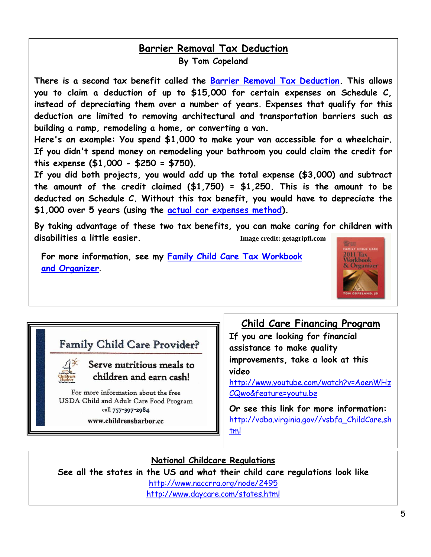#### **Barrier Removal Tax Deduction By Tom Copeland**

**There is a second tax benefit called the [Barrier Removal Tax Deduction.](http://www.workworld.org/wwwebhelp/barrier_removal_tax_deduction.htm) This allows you to claim a deduction of up to \$15,000 for certain expenses on Schedule C, instead of depreciating them over a number of years. Expenses that qualify for this deduction are limited to removing architectural and transportation barriers such as building a ramp, remodeling a home, or converting a van.**

**Here's an example: You spend \$1,000 to make your van accessible for a wheelchair. If you didn't spend money on remodeling your bathroom you could claim the credit for this expense (\$1,000 - \$250 = \$750).** 

**If you did both projects, you would add up the total expense (\$3,000) and subtract the amount of the credit claimed (\$1,750) = \$1,250. This is the amount to be deducted on Schedule C. Without this tax benefit, you would have to depreciate the \$1,000 over 5 years (using the [actual car expenses method\)](http://www.tomcopelandblog.com/2011/09/claiming-vehicle-expenses-the-actual-expenses-method.html).**

**By taking advantage of these two tax benefits, you can make caring for children with disabilities a little easier. Image credit: getagripfl.com**

**For more information, see my [Family Child Care Tax Workbook](http://www.tomcopelandblog.com/2011-family-child-care-tax-workbook-and-organizer.html)  [and Organizer](http://www.tomcopelandblog.com/2011-family-child-care-tax-workbook-and-organizer.html)**.



# **Family Child Care Provider?**



## Serve nutritious meals to children and earn cash!

For more information about the free USDA Child and Adult Care Food Program call 757-397-2984

www.childrensharbor.cc

#### **Child Care Financing Program**

**If you are looking for financial assistance to make quality improvements, take a look at this video** 

[http://www.youtube.com/watch?v=AoenWHz](http://www.youtube.com/watch?v=AoenWHzCQwo&feature=youtu.be) [CQwo&feature=youtu.be](http://www.youtube.com/watch?v=AoenWHzCQwo&feature=youtu.be)

**Or see this link for more information:** [http://vdba.virginia.gov//vsbfa\\_ChildCare.sh](http://vdba.virginia.gov/vsbfa_ChildCare.shtml) [tml](http://vdba.virginia.gov/vsbfa_ChildCare.shtml)

## **National Childcare Regulations**

**See all the states in the US and what their child care regulations look like**

<http://www.naccrra.org/node/2495>

<http://www.daycare.com/states.html>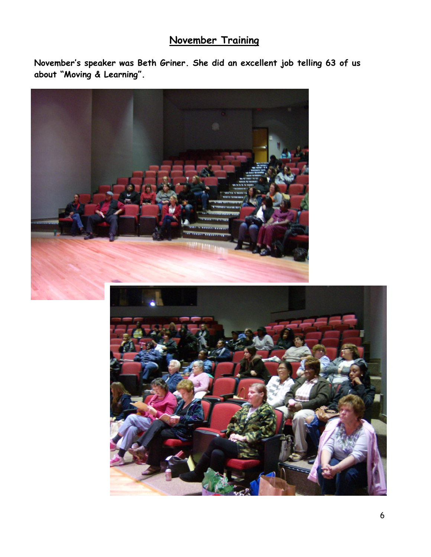# **November Training**

**November's speaker was Beth Griner. She did an excellent job telling 63 of us about "Moving & Learning".** 

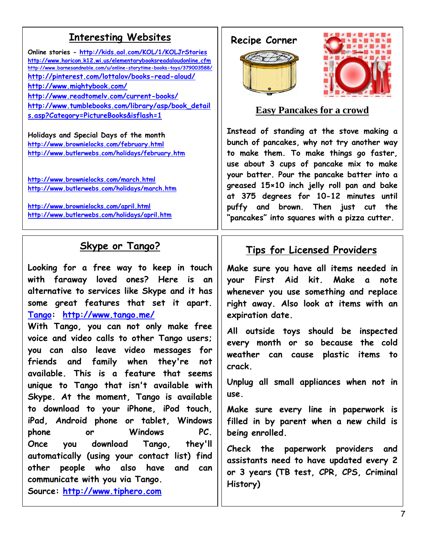# **Enteresting Websites** | Recipe Corner

**Online stories - <http://kids.aol.com/KOL/1/KOLJrStories> <http://www.horicon.k12.wi.us/elementarybooksreadaloudonline.cfm> <http://www.barnesandnoble.com/u/online-storytime-books-toys/379003588/> <http://pinterest.com/lottalov/books-read-aloud/> <http://www.mightybook.com/> <http://www.readtomelv.com/current-books/> [http://www.tumblebooks.com/library/asp/book\\_detail](http://www.tumblebooks.com/library/asp/book_details.asp?Category=PictureBooks&isflash=1) [s.asp?Category=PictureBooks&isflash=1](http://www.tumblebooks.com/library/asp/book_details.asp?Category=PictureBooks&isflash=1)**

**Holidays and Special Days of the month <http://www.brownielocks.com/february.html> <http://www.butlerwebs.com/holidays/february.htm>**

**<http://www.brownielocks.com/march.html> <http://www.butlerwebs.com/holidays/march.htm>**

**<http://www.brownielocks.com/april.html> <http://www.butlerwebs.com/holidays/april.htm>**

# **Skype or Tango?**

**Looking for a free way to keep in touch with faraway loved ones? Here is an alternative to services like Skype and it has some great features that set it apart. [Tango:](http://www.tango.me/) <http://www.tango.me/>**

**With Tango, you can not only make free voice and video calls to other Tango users; you can also leave video messages for friends and family when they're not available. This is a feature that seems unique to Tango that isn't available with Skype. At the moment, Tango is available to download to your iPhone, iPod touch, iPad, Android phone or tablet, Windows phone or Windows PC. Once you download Tango, they'll automatically (using your contact list) find other people who also have and can communicate with you via Tango. Source: [http://www.tiphero.com](http://www.tiphero.com/)**





**Easy Pancakes for a crowd**

**Instead of standing at the stove making a bunch of pancakes, why not try another way to make them. To make things go faster, use about 3 cups of pancake mix to make your batter. Pour the pancake batter into a greased 15×10 inch jelly roll pan and bake at 375 degrees for 10-12 minutes until puffy and brown. Then just cut the "pancakes" into squares with a pizza cutter.**

# **Tips for Licensed Providers**

**Make sure you have all items needed in your First Aid kit. Make a note whenever you use something and replace right away. Also look at items with an expiration date.**

**All outside toys should be inspected every month or so because the cold weather can cause plastic items to crack.**

**Unplug all small appliances when not in use.**

**Make sure every line in paperwork is filled in by parent when a new child is being enrolled.**

**Check the paperwork providers and assistants need to have updated every 2 or 3 years (TB test, CPR, CPS, Criminal History)**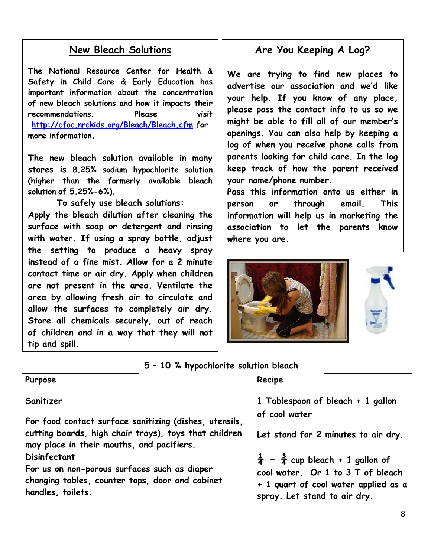#### **New Bleach Solutions**

 **important information about the concentration of new bleach solutions and how it impacts their The National Resource Center for Health & Safety in Child Care & Early Education has recommendations. Please visit [http://cfoc.nrckids.org/Bleach/Bleach.cfm](http://r20.rs6.net/tn.jsp?e=0018nN5NLaipKd-Fao7_eYH7BhpKVZXXibBs0deByp-mtcih6l_oxo_f9D6b26fBnAio-TpDDrt6zU1Y9AAFWdPMWuPcEAnK1Sba7Sn_UuGiFNvSchHLsQ5OZPkJa5tduTV9MyafV8TZvE=) for more information.**

**The new bleach solution available in many stores is 8.25% sodium hypochlorite solution (higher than the formerly available bleach solution of 5.25%-6%).** 

**To safely use bleach solutions: Apply the bleach dilution after cleaning the surface with soap or detergent and rinsing with water. If using a spray bottle, adjust the setting to produce a heavy spray instead of a fine mist. Allow for a 2 minute contact time or air dry. Apply when children are not present in the area. Ventilate the area by allowing fresh air to circulate and allow the surfaces to completely air dry. Store all chemicals securely, out of reach of children and in a way that they will not tip and spill.** 

# **Are You Keeping A Log?**

**We are trying to find new places to advertise our association and we'd like your help. If you know of any place, please pass the contact info to us so we might be able to fill all of our member's openings. You can also help by keeping a log of when you receive phone calls from parents looking for child care. In the log keep track of how the parent received your name/phone number.** 

**Pass this information onto us either in person or through email. This information will help us in marketing the association to let the parents know where you are.**





|                                                                                                                                                              | 5 - 10 % hypochlorite solution bleach |                                                                                        |                                                                           |
|--------------------------------------------------------------------------------------------------------------------------------------------------------------|---------------------------------------|----------------------------------------------------------------------------------------|---------------------------------------------------------------------------|
| Purpose                                                                                                                                                      |                                       | Recipe                                                                                 |                                                                           |
| Sanitizer                                                                                                                                                    |                                       | 1 Tablespoon of bleach + 1 gallon<br>of cool water                                     |                                                                           |
| For food contact surface sanitizing (dishes, utensils,<br>cutting boards, high chair trays), toys that children<br>may place in their mouths, and pacifiers. |                                       |                                                                                        | Let stand for 2 minutes to air dry.                                       |
| Disinfectant<br>For us on non-porous surfaces such as diaper<br>changing tables, counter tops, door and cabinet<br>handles, toilets.                         |                                       | $\frac{1}{4}$ - $\frac{3}{4}$ cup bleach + 1 gallon of<br>spray. Let stand to air dry. | cool water. Or 1 to 3 T of bleach<br>+ 1 quart of cool water applied as a |